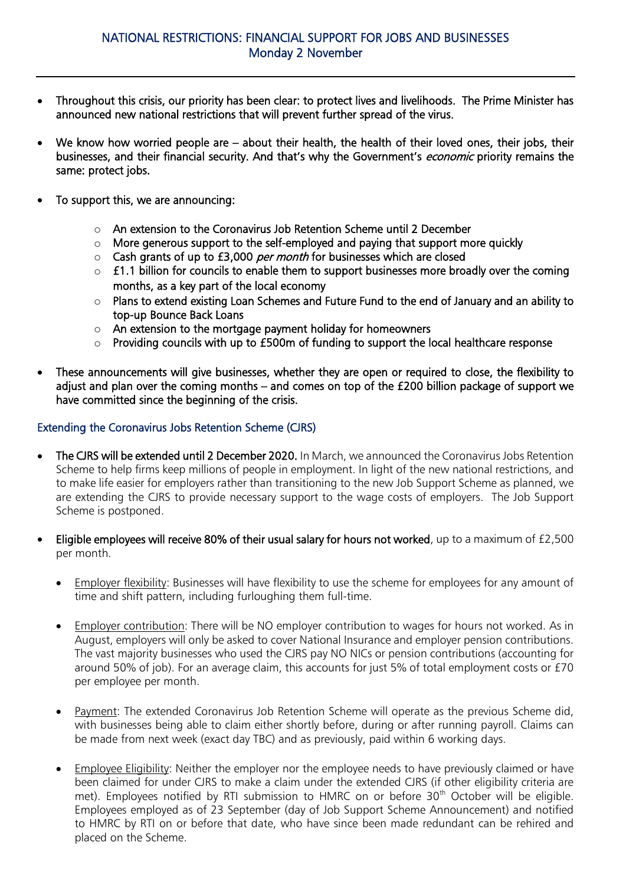- Throughout this crisis, our priority has been clear: to protect lives and livelihoods. The Prime Minister has announced new national restrictions that will prevent further spread of the virus.
- We know how worried people are about their health, the health of their loved ones, their jobs, their businesses, and their financial security. And that's why the Government's economic priority remains the same: protect jobs.
- To support this, we are announcing:
	- o An extension to the Coronavirus Job Retention Scheme until 2 December
	- o More generous support to the self-employed and paying that support more quickly
	- $\circ$  Cash grants of up to £3,000 per month for businesses which are closed
	- $\circ$  £1.1 billion for councils to enable them to support businesses more broadly over the coming months, as a key part of the local economy
	- o Plans to extend existing Loan Schemes and Future Fund to the end of January and an ability to top-up Bounce Back Loans
	- $\circ$  An extension to the mortgage payment holiday for homeowners
	- o Providing councils with up to £500m of funding to support the local healthcare response
- These announcements will give businesses, whether they are open or required to close, the flexibility to adjust and plan over the coming months – and comes on top of the £200 billion package of support we have committed since the beginning of the crisis.

# Extending the Coronavirus Jobs Retention Scheme (CJRS)

- The CJRS will be extended until 2 December 2020. In March, we announced the Coronavirus Jobs Retention Scheme to help firms keep millions of people in employment. In light of the new national restrictions, and to make life easier for employers rather than transitioning to the new Job Support Scheme as planned, we are extending the CJRS to provide necessary support to the wage costs of employers. The Job Support Scheme is postponed.
- Eligible employees will receive 80% of their usual salary for hours not worked, up to a maximum of £2,500 per month.
	- Employer flexibility: Businesses will have flexibility to use the scheme for employees for any amount of time and shift pattern, including furloughing them full-time.
	- Employer contribution: There will be NO employer contribution to wages for hours not worked. As in August, employers will only be asked to cover National Insurance and employer pension contributions. The vast majority businesses who used the CJRS pay NO NICs or pension contributions (accounting for around 50% of job). For an average claim, this accounts for just 5% of total employment costs or £70 per employee per month.
	- Payment: The extended Coronavirus Job Retention Scheme will operate as the previous Scheme did, with businesses being able to claim either shortly before, during or after running payroll. Claims can be made from next week (exact day TBC) and as previously, paid within 6 working days.
	- Employee Eligibility: Neither the employer nor the employee needs to have previously claimed or have been claimed for under CJRS to make a claim under the extended CJRS (if other eligibility criteria are met). Employees notified by RTI submission to HMRC on or before 30<sup>th</sup> October will be eligible. Employees employed as of 23 September (day of Job Support Scheme Announcement) and notified to HMRC by RTI on or before that date, who have since been made redundant can be rehired and placed on the Scheme.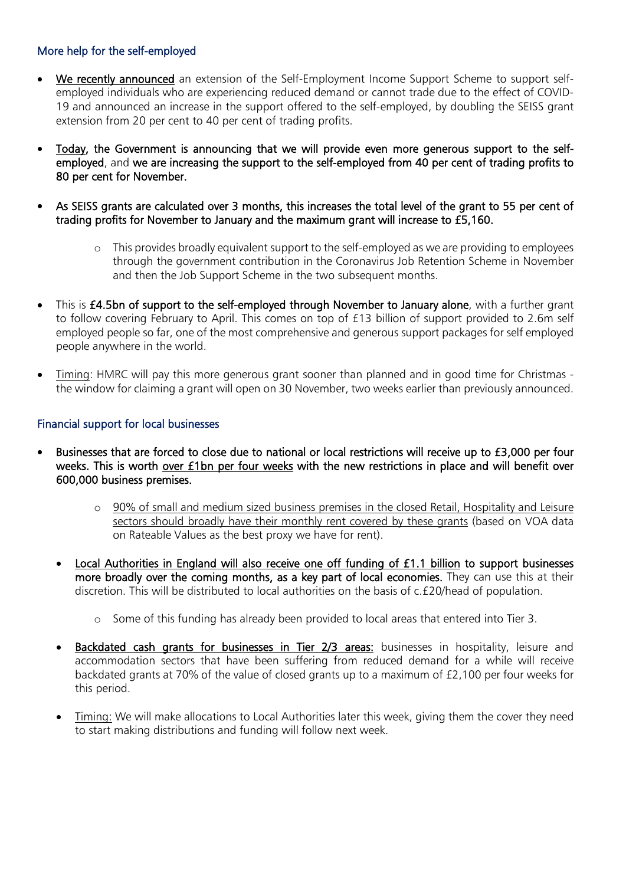# More help for the self-employed

- We recently announced an extension of the Self-Employment Income Support Scheme to support selfemployed individuals who are experiencing reduced demand or cannot trade due to the effect of COVID-19 and announced an increase in the support offered to the self-employed, by doubling the SEISS grant extension from 20 per cent to 40 per cent of trading profits.
- Today, the Government is announcing that we will provide even more generous support to the selfemployed, and we are increasing the support to the self-employed from 40 per cent of trading profits to 80 per cent for November.
- As SEISS grants are calculated over 3 months, this increases the total level of the grant to 55 per cent of trading profits for November to January and the maximum grant will increase to £5,160.
	- $\circ$  This provides broadly equivalent support to the self-employed as we are providing to employees through the government contribution in the Coronavirus Job Retention Scheme in November and then the Job Support Scheme in the two subsequent months.
- This is £4.5bn of support to the self-employed through November to January alone, with a further grant to follow covering February to April. This comes on top of £13 billion of support provided to 2.6m self employed people so far, one of the most comprehensive and generous support packages for self employed people anywhere in the world.
- Timing: HMRC will pay this more generous grant sooner than planned and in good time for Christmas the window for claiming a grant will open on 30 November, two weeks earlier than previously announced.

### Financial support for local businesses

- Businesses that are forced to close due to national or local restrictions will receive up to £3,000 per four weeks. This is worth over £1bn per four weeks with the new restrictions in place and will benefit over 600,000 business premises.
	- $\circ$  90% of small and medium sized business premises in the closed Retail, Hospitality and Leisure sectors should broadly have their monthly rent covered by these grants (based on VOA data on Rateable Values as the best proxy we have for rent).
	- Local Authorities in England will also receive one off funding of £1.1 billion to support businesses more broadly over the coming months, as a key part of local economies. They can use this at their discretion. This will be distributed to local authorities on the basis of c.£20/head of population.
		- o Some of this funding has already been provided to local areas that entered into Tier 3.
	- Backdated cash grants for businesses in Tier 2/3 areas: businesses in hospitality, leisure and accommodation sectors that have been suffering from reduced demand for a while will receive backdated grants at 70% of the value of closed grants up to a maximum of £2,100 per four weeks for this period.
	- Timing: We will make allocations to Local Authorities later this week, giving them the cover they need to start making distributions and funding will follow next week.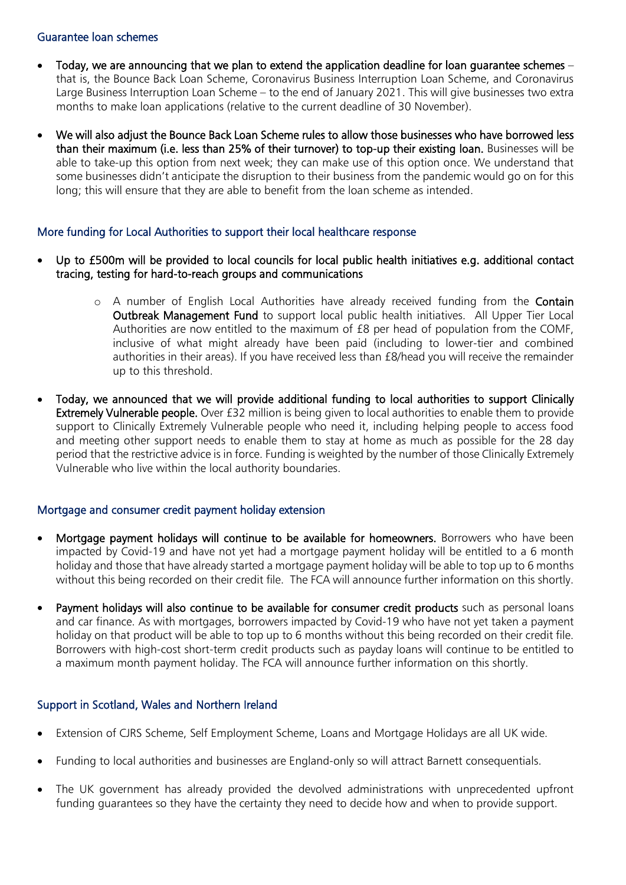#### Guarantee loan schemes

- Today, we are announcing that we plan to extend the application deadline for loan guarantee schemes  $$ that is, the Bounce Back Loan Scheme, Coronavirus Business Interruption Loan Scheme, and Coronavirus Large Business Interruption Loan Scheme – to the end of January 2021. This will give businesses two extra months to make loan applications (relative to the current deadline of 30 November).
- We will also adjust the Bounce Back Loan Scheme rules to allow those businesses who have borrowed less than their maximum (i.e. less than 25% of their turnover) to top-up their existing loan. Businesses will be able to take-up this option from next week; they can make use of this option once. We understand that some businesses didn't anticipate the disruption to their business from the pandemic would go on for this long; this will ensure that they are able to benefit from the loan scheme as intended.

### More funding for Local Authorities to support their local healthcare response

- Up to £500m will be provided to local councils for local public health initiatives e.g. additional contact tracing, testing for hard-to-reach groups and communications
	- o A number of English Local Authorities have already received funding from the Contain Outbreak Management Fund to support local public health initiatives. All Upper Tier Local Authorities are now entitled to the maximum of £8 per head of population from the COMF, inclusive of what might already have been paid (including to lower-tier and combined authorities in their areas). If you have received less than £8/head you will receive the remainder up to this threshold.
- Today, we announced that we will provide additional funding to local authorities to support Clinically Extremely Vulnerable people. Over £32 million is being given to local authorities to enable them to provide support to Clinically Extremely Vulnerable people who need it, including helping people to access food and meeting other support needs to enable them to stay at home as much as possible for the 28 day period that the restrictive advice is in force. Funding is weighted by the number of those Clinically Extremely Vulnerable who live within the local authority boundaries.

### Mortgage and consumer credit payment holiday extension

- Mortgage payment holidays will continue to be available for homeowners. Borrowers who have been impacted by Covid-19 and have not yet had a mortgage payment holiday will be entitled to a 6 month holiday and those that have already started a mortgage payment holiday will be able to top up to 6 months without this being recorded on their credit file. The FCA will announce further information on this shortly.
- Payment holidays will also continue to be available for consumer credit products such as personal loans and car finance. As with mortgages, borrowers impacted by Covid-19 who have not yet taken a payment holiday on that product will be able to top up to 6 months without this being recorded on their credit file. Borrowers with high-cost short-term credit products such as payday loans will continue to be entitled to a maximum month payment holiday. The FCA will announce further information on this shortly.

### Support in Scotland, Wales and Northern Ireland

- Extension of CJRS Scheme, Self Employment Scheme, Loans and Mortgage Holidays are all UK wide.
- Funding to local authorities and businesses are England-only so will attract Barnett consequentials.
- The UK government has already provided the devolved administrations with unprecedented upfront funding guarantees so they have the certainty they need to decide how and when to provide support.